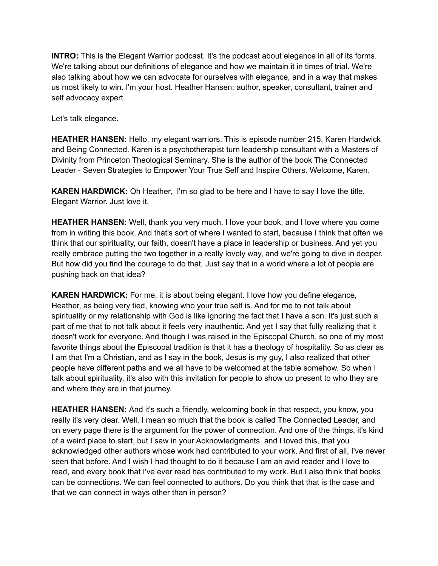**INTRO:** This is the Elegant Warrior podcast. It's the podcast about elegance in all of its forms. We're talking about our definitions of elegance and how we maintain it in times of trial. We're also talking about how we can advocate for ourselves with elegance, and in a way that makes us most likely to win. I'm your host. Heather Hansen: author, speaker, consultant, trainer and self advocacy expert.

Let's talk elegance.

**HEATHER HANSEN:** Hello, my elegant warriors. This is episode number 215, Karen Hardwick and Being Connected. Karen is a psychotherapist turn leadership consultant with a Masters of Divinity from Princeton Theological Seminary. She is the author of the book The Connected Leader - Seven Strategies to Empower Your True Self and Inspire Others. Welcome, Karen.

**KAREN HARDWICK:** Oh Heather, I'm so glad to be here and I have to say I love the title, Elegant Warrior. Just love it.

**HEATHER HANSEN:** Well, thank you very much. I love your book, and I love where you come from in writing this book. And that's sort of where I wanted to start, because I think that often we think that our spirituality, our faith, doesn't have a place in leadership or business. And yet you really embrace putting the two together in a really lovely way, and we're going to dive in deeper. But how did you find the courage to do that, Just say that in a world where a lot of people are pushing back on that idea?

**KAREN HARDWICK:** For me, it is about being elegant. I love how you define elegance, Heather, as being very tied, knowing who your true self is. And for me to not talk about spirituality or my relationship with God is like ignoring the fact that I have a son. It's just such a part of me that to not talk about it feels very inauthentic. And yet I say that fully realizing that it doesn't work for everyone. And though I was raised in the Episcopal Church, so one of my most favorite things about the Episcopal tradition is that it has a theology of hospitality. So as clear as I am that I'm a Christian, and as I say in the book, Jesus is my guy, I also realized that other people have different paths and we all have to be welcomed at the table somehow. So when I talk about spirituality, it's also with this invitation for people to show up present to who they are and where they are in that journey.

**HEATHER HANSEN:** And it's such a friendly, welcoming book in that respect, you know, you really it's very clear. Well, I mean so much that the book is called The Connected Leader, and on every page there is the argument for the power of connection. And one of the things, it's kind of a weird place to start, but I saw in your Acknowledgments, and I loved this, that you acknowledged other authors whose work had contributed to your work. And first of all, I've never seen that before. And I wish I had thought to do it because I am an avid reader and I love to read, and every book that I've ever read has contributed to my work. But I also think that books can be connections. We can feel connected to authors. Do you think that that is the case and that we can connect in ways other than in person?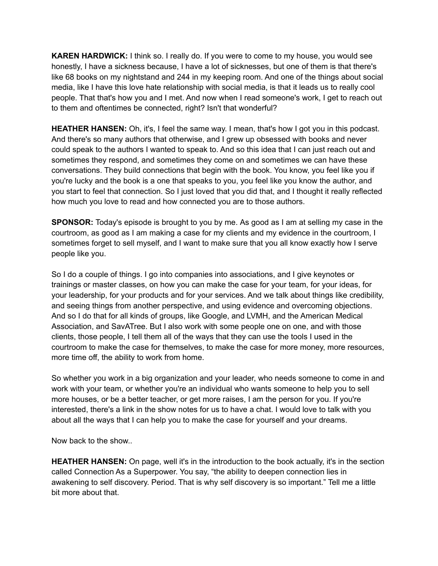**KAREN HARDWICK:** I think so. I really do. If you were to come to my house, you would see honestly, I have a sickness because, I have a lot of sicknesses, but one of them is that there's like 68 books on my nightstand and 244 in my keeping room. And one of the things about social media, like I have this love hate relationship with social media, is that it leads us to really cool people. That that's how you and I met. And now when I read someone's work, I get to reach out to them and oftentimes be connected, right? Isn't that wonderful?

**HEATHER HANSEN:** Oh, it's, I feel the same way. I mean, that's how I got you in this podcast. And there's so many authors that otherwise, and I grew up obsessed with books and never could speak to the authors I wanted to speak to. And so this idea that I can just reach out and sometimes they respond, and sometimes they come on and sometimes we can have these conversations. They build connections that begin with the book. You know, you feel like you if you're lucky and the book is a one that speaks to you, you feel like you know the author, and you start to feel that connection. So I just loved that you did that, and I thought it really reflected how much you love to read and how connected you are to those authors.

**SPONSOR:** Today's episode is brought to you by me. As good as I am at selling my case in the courtroom, as good as I am making a case for my clients and my evidence in the courtroom, I sometimes forget to sell myself, and I want to make sure that you all know exactly how I serve people like you.

So I do a couple of things. I go into companies into associations, and I give keynotes or trainings or master classes, on how you can make the case for your team, for your ideas, for your leadership, for your products and for your services. And we talk about things like credibility, and seeing things from another perspective, and using evidence and overcoming objections. And so I do that for all kinds of groups, like Google, and LVMH, and the American Medical Association, and SavATree. But I also work with some people one on one, and with those clients, those people, I tell them all of the ways that they can use the tools I used in the courtroom to make the case for themselves, to make the case for more money, more resources, more time off, the ability to work from home.

So whether you work in a big organization and your leader, who needs someone to come in and work with your team, or whether you're an individual who wants someone to help you to sell more houses, or be a better teacher, or get more raises, I am the person for you. If you're interested, there's a link in the show notes for us to have a chat. I would love to talk with you about all the ways that I can help you to make the case for yourself and your dreams.

Now back to the show..

**HEATHER HANSEN:** On page, well it's in the introduction to the book actually, it's in the section called Connection As a Superpower. You say, "the ability to deepen connection lies in awakening to self discovery. Period. That is why self discovery is so important." Tell me a little bit more about that.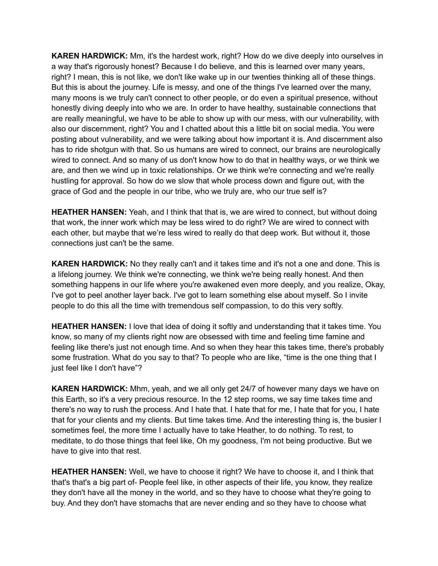**KAREN HARDWICK:** Mm, it's the hardest work, right? How do we dive deeply into ourselves in a way that's rigorously honest? Because I do believe, and this is learned over many years, right? I mean, this is not like, we don't like wake up in our twenties thinking all of these things. But this is about the journey. Life is messy, and one of the things I've learned over the many, many moons is we truly can't connect to other people, or do even a spiritual presence, without honestly diving deeply into who we are. In order to have healthy, sustainable connections that are really meaningful, we have to be able to show up with our mess, with our vulnerability, with also our discernment, right? You and I chatted about this a little bit on social media. You were posting about vulnerability, and we were talking about how important it is. And discernment also has to ride shotgun with that. So us humans are wired to connect, our brains are neurologically wired to connect. And so many of us don't know how to do that in healthy ways, or we think we are, and then we wind up in toxic relationships. Or we think we're connecting and we're really hustling for approval. So how do we slow that whole process down and figure out, with the grace of God and the people in our tribe, who we truly are, who our true self is?

**HEATHER HANSEN:** Yeah, and I think that that is, we are wired to connect, but without doing that work, the inner work which may be less wired to do right? We are wired to connect with each other, but maybe that we're less wired to really do that deep work. But without it, those connections just can't be the same.

**KAREN HARDWICK:** No they really can't and it takes time and it's not a one and done. This is a lifelong journey. We think we're connecting, we think we're being really honest. And then something happens in our life where you're awakened even more deeply, and you realize, Okay, I've got to peel another layer back. I've got to learn something else about myself. So I invite people to do this all the time with tremendous self compassion, to do this very softly.

**HEATHER HANSEN:** I love that idea of doing it softly and understanding that it takes time. You know, so many of my clients right now are obsessed with time and feeling time famine and feeling like there's just not enough time. And so when they hear this takes time, there's probably some frustration. What do you say to that? To people who are like, "time is the one thing that I just feel like I don't have"?

**KAREN HARDWICK:** Mhm, yeah, and we all only get 24/7 of however many days we have on this Earth, so it's a very precious resource. In the 12 step rooms, we say time takes time and there's no way to rush the process. And I hate that. I hate that for me, I hate that for you, I hate that for your clients and my clients. But time takes time. And the interesting thing is, the busier I sometimes feel, the more time I actually have to take Heather, to do nothing. To rest, to meditate, to do those things that feel like, Oh my goodness, I'm not being productive. But we have to give into that rest.

**HEATHER HANSEN:** Well, we have to choose it right? We have to choose it, and I think that that's that's a big part of- People feel like, in other aspects of their life, you know, they realize they don't have all the money in the world, and so they have to choose what they're going to buy. And they don't have stomachs that are never ending and so they have to choose what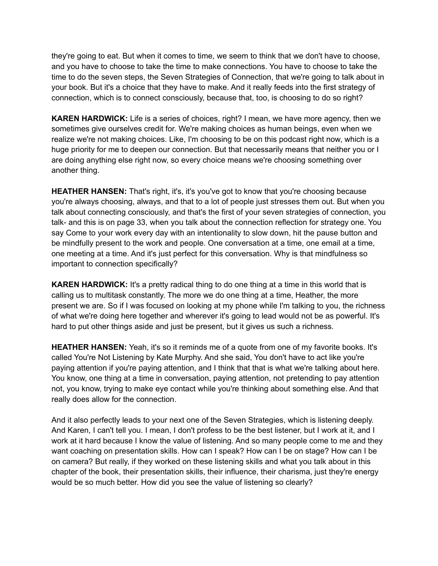they're going to eat. But when it comes to time, we seem to think that we don't have to choose, and you have to choose to take the time to make connections. You have to choose to take the time to do the seven steps, the Seven Strategies of Connection, that we're going to talk about in your book. But it's a choice that they have to make. And it really feeds into the first strategy of connection, which is to connect consciously, because that, too, is choosing to do so right?

**KAREN HARDWICK:** Life is a series of choices, right? I mean, we have more agency, then we sometimes give ourselves credit for. We're making choices as human beings, even when we realize we're not making choices. Like, I'm choosing to be on this podcast right now, which is a huge priority for me to deepen our connection. But that necessarily means that neither you or I are doing anything else right now, so every choice means we're choosing something over another thing.

**HEATHER HANSEN:** That's right, it's, it's you've got to know that you're choosing because you're always choosing, always, and that to a lot of people just stresses them out. But when you talk about connecting consciously, and that's the first of your seven strategies of connection, you talk- and this is on page 33, when you talk about the connection reflection for strategy one. You say Come to your work every day with an intentionality to slow down, hit the pause button and be mindfully present to the work and people. One conversation at a time, one email at a time, one meeting at a time. And it's just perfect for this conversation. Why is that mindfulness so important to connection specifically?

**KAREN HARDWICK:** It's a pretty radical thing to do one thing at a time in this world that is calling us to multitask constantly. The more we do one thing at a time, Heather, the more present we are. So if I was focused on looking at my phone while I'm talking to you, the richness of what we're doing here together and wherever it's going to lead would not be as powerful. It's hard to put other things aside and just be present, but it gives us such a richness.

**HEATHER HANSEN:** Yeah, it's so it reminds me of a quote from one of my favorite books. It's called You're Not Listening by Kate Murphy. And she said, You don't have to act like you're paying attention if you're paying attention, and I think that that is what we're talking about here. You know, one thing at a time in conversation, paying attention, not pretending to pay attention not, you know, trying to make eye contact while you're thinking about something else. And that really does allow for the connection.

And it also perfectly leads to your next one of the Seven Strategies, which is listening deeply. And Karen, I can't tell you. I mean, I don't profess to be the best listener, but I work at it, and I work at it hard because I know the value of listening. And so many people come to me and they want coaching on presentation skills. How can I speak? How can I be on stage? How can I be on camera? But really, if they worked on these listening skills and what you talk about in this chapter of the book, their presentation skills, their influence, their charisma, just they're energy would be so much better. How did you see the value of listening so clearly?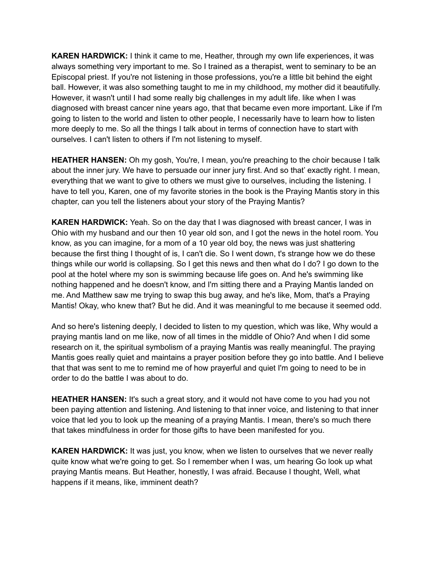**KAREN HARDWICK:** I think it came to me, Heather, through my own life experiences, it was always something very important to me. So I trained as a therapist, went to seminary to be an Episcopal priest. If you're not listening in those professions, you're a little bit behind the eight ball. However, it was also something taught to me in my childhood, my mother did it beautifully. However, it wasn't until I had some really big challenges in my adult life. like when I was diagnosed with breast cancer nine years ago, that that became even more important. Like if I'm going to listen to the world and listen to other people, I necessarily have to learn how to listen more deeply to me. So all the things I talk about in terms of connection have to start with ourselves. I can't listen to others if I'm not listening to myself.

**HEATHER HANSEN:** Oh my gosh, You're, I mean, you're preaching to the choir because I talk about the inner jury. We have to persuade our inner jury first. And so that' exactly right. I mean, everything that we want to give to others we must give to ourselves, including the listening. I have to tell you, Karen, one of my favorite stories in the book is the Praying Mantis story in this chapter, can you tell the listeners about your story of the Praying Mantis?

**KAREN HARDWICK:** Yeah. So on the day that I was diagnosed with breast cancer, I was in Ohio with my husband and our then 10 year old son, and I got the news in the hotel room. You know, as you can imagine, for a mom of a 10 year old boy, the news was just shattering because the first thing I thought of is, I can't die. So I went down, t's strange how we do these things while our world is collapsing. So I get this news and then what do I do? I go down to the pool at the hotel where my son is swimming because life goes on. And he's swimming like nothing happened and he doesn't know, and I'm sitting there and a Praying Mantis landed on me. And Matthew saw me trying to swap this bug away, and he's like, Mom, that's a Praying Mantis! Okay, who knew that? But he did. And it was meaningful to me because it seemed odd.

And so here's listening deeply, I decided to listen to my question, which was like, Why would a praying mantis land on me like, now of all times in the middle of Ohio? And when I did some research on it, the spiritual symbolism of a praying Mantis was really meaningful. The praying Mantis goes really quiet and maintains a prayer position before they go into battle. And I believe that that was sent to me to remind me of how prayerful and quiet I'm going to need to be in order to do the battle I was about to do.

**HEATHER HANSEN:** It's such a great story, and it would not have come to you had you not been paying attention and listening. And listening to that inner voice, and listening to that inner voice that led you to look up the meaning of a praying Mantis. I mean, there's so much there that takes mindfulness in order for those gifts to have been manifested for you.

**KAREN HARDWICK:** It was just, you know, when we listen to ourselves that we never really quite know what we're going to get. So I remember when I was, um hearing Go look up what praying Mantis means. But Heather, honestly, I was afraid. Because I thought, Well, what happens if it means, like, imminent death?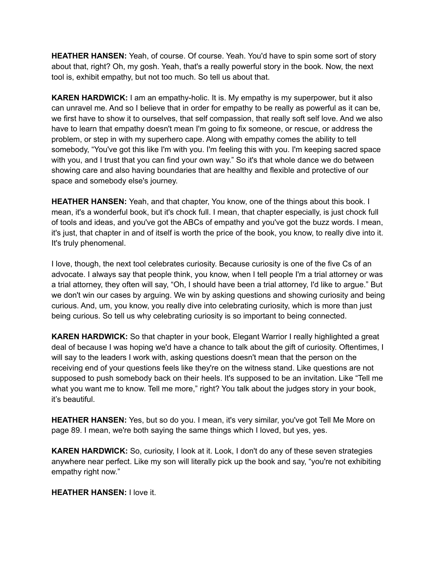**HEATHER HANSEN:** Yeah, of course. Of course. Yeah. You'd have to spin some sort of story about that, right? Oh, my gosh. Yeah, that's a really powerful story in the book. Now, the next tool is, exhibit empathy, but not too much. So tell us about that.

**KAREN HARDWICK:** I am an empathy-holic. It is. My empathy is my superpower, but it also can unravel me. And so I believe that in order for empathy to be really as powerful as it can be, we first have to show it to ourselves, that self compassion, that really soft self love. And we also have to learn that empathy doesn't mean I'm going to fix someone, or rescue, or address the problem, or step in with my superhero cape. Along with empathy comes the ability to tell somebody, "You've got this like I'm with you. I'm feeling this with you. I'm keeping sacred space with you, and I trust that you can find your own way." So it's that whole dance we do between showing care and also having boundaries that are healthy and flexible and protective of our space and somebody else's journey.

**HEATHER HANSEN:** Yeah, and that chapter, You know, one of the things about this book. I mean, it's a wonderful book, but it's chock full. I mean, that chapter especially, is just chock full of tools and ideas, and you've got the ABCs of empathy and you've got the buzz words. I mean, it's just, that chapter in and of itself is worth the price of the book, you know, to really dive into it. It's truly phenomenal.

I love, though, the next tool celebrates curiosity. Because curiosity is one of the five Cs of an advocate. I always say that people think, you know, when I tell people I'm a trial attorney or was a trial attorney, they often will say, "Oh, I should have been a trial attorney, I'd like to argue." But we don't win our cases by arguing. We win by asking questions and showing curiosity and being curious. And, um, you know, you really dive into celebrating curiosity, which is more than just being curious. So tell us why celebrating curiosity is so important to being connected.

**KAREN HARDWICK:** So that chapter in your book, Elegant Warrior I really highlighted a great deal of because I was hoping we'd have a chance to talk about the gift of curiosity. Oftentimes, I will say to the leaders I work with, asking questions doesn't mean that the person on the receiving end of your questions feels like they're on the witness stand. Like questions are not supposed to push somebody back on their heels. It's supposed to be an invitation. Like "Tell me what you want me to know. Tell me more," right? You talk about the judges story in your book, it's beautiful.

**HEATHER HANSEN:** Yes, but so do you. I mean, it's very similar, you've got Tell Me More on page 89. I mean, we're both saying the same things which I loved, but yes, yes.

**KAREN HARDWICK:** So, curiosity, I look at it. Look, I don't do any of these seven strategies anywhere near perfect. Like my son will literally pick up the book and say, "you're not exhibiting empathy right now."

**HEATHER HANSEN:** I love it.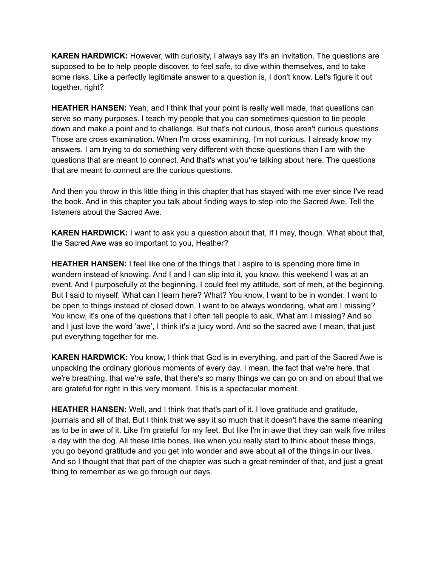**KAREN HARDWICK:** However, with curiosity, I always say it's an invitation. The questions are supposed to be to help people discover, to feel safe, to dive within themselves, and to take some risks. Like a perfectly legitimate answer to a question is, I don't know. Let's figure it out together, right?

**HEATHER HANSEN:** Yeah, and I think that your point is really well made, that questions can serve so many purposes. I teach my people that you can sometimes question to tie people down and make a point and to challenge. But that's not curious, those aren't curious questions. Those are cross examination. When I'm cross examining, I'm not curious, I already know my answers. I am trying to do something very different with those questions than I am with the questions that are meant to connect. And that's what you're talking about here. The questions that are meant to connect are the curious questions.

And then you throw in this little thing in this chapter that has stayed with me ever since I've read the book. And in this chapter you talk about finding ways to step into the Sacred Awe. Tell the listeners about the Sacred Awe.

**KAREN HARDWICK:** I want to ask you a question about that, If I may, though. What about that, the Sacred Awe was so important to you, Heather?

**HEATHER HANSEN:** I feel like one of the things that I aspire to is spending more time in wondern instead of knowing. And I and I can slip into it, you know, this weekend I was at an event. And I purposefully at the beginning, I could feel my attitude, sort of meh, at the beginning. But I said to myself, What can I learn here? What? You know, I want to be in wonder. I want to be open to things instead of closed down. I want to be always wondering, what am I missing? You know, it's one of the questions that I often tell people to ask, What am I missing? And so and I just love the word 'awe', I think it's a juicy word. And so the sacred awe I mean, that just put everything together for me.

**KAREN HARDWICK:** You know, I think that God is in everything, and part of the Sacred Awe is unpacking the ordinary glorious moments of every day. I mean, the fact that we're here, that we're breathing, that we're safe, that there's so many things we can go on and on about that we are grateful for right in this very moment. This is a spectacular moment.

**HEATHER HANSEN:** Well, and I think that that's part of it. I love gratitude and gratitude, journals and all of that. But I think that we say it so much that it doesn't have the same meaning as to be in awe of it. Like I'm grateful for my feet. But like I'm in awe that they can walk five miles a day with the dog. All these little bones, like when you really start to think about these things, you go beyond gratitude and you get into wonder and awe about all of the things in our lives. And so I thought that that part of the chapter was such a great reminder of that, and just a great thing to remember as we go through our days.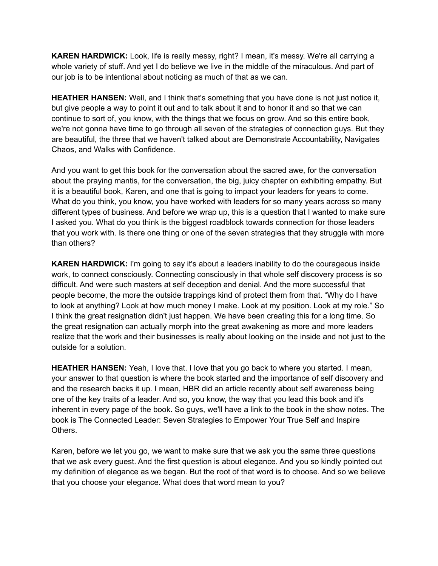**KAREN HARDWICK:** Look, life is really messy, right? I mean, it's messy. We're all carrying a whole variety of stuff. And yet I do believe we live in the middle of the miraculous. And part of our job is to be intentional about noticing as much of that as we can.

**HEATHER HANSEN:** Well, and I think that's something that you have done is not just notice it, but give people a way to point it out and to talk about it and to honor it and so that we can continue to sort of, you know, with the things that we focus on grow. And so this entire book, we're not gonna have time to go through all seven of the strategies of connection guys. But they are beautiful, the three that we haven't talked about are Demonstrate Accountability, Navigates Chaos, and Walks with Confidence.

And you want to get this book for the conversation about the sacred awe, for the conversation about the praying mantis, for the conversation, the big, juicy chapter on exhibiting empathy. But it is a beautiful book, Karen, and one that is going to impact your leaders for years to come. What do you think, you know, you have worked with leaders for so many years across so many different types of business. And before we wrap up, this is a question that I wanted to make sure I asked you. What do you think is the biggest roadblock towards connection for those leaders that you work with. Is there one thing or one of the seven strategies that they struggle with more than others?

**KAREN HARDWICK:** I'm going to say it's about a leaders inability to do the courageous inside work, to connect consciously. Connecting consciously in that whole self discovery process is so difficult. And were such masters at self deception and denial. And the more successful that people become, the more the outside trappings kind of protect them from that. "Why do I have to look at anything? Look at how much money I make. Look at my position. Look at my role." So I think the great resignation didn't just happen. We have been creating this for a long time. So the great resignation can actually morph into the great awakening as more and more leaders realize that the work and their businesses is really about looking on the inside and not just to the outside for a solution.

**HEATHER HANSEN:** Yeah, I love that. I love that you go back to where you started. I mean, your answer to that question is where the book started and the importance of self discovery and and the research backs it up. I mean, HBR did an article recently about self awareness being one of the key traits of a leader. And so, you know, the way that you lead this book and it's inherent in every page of the book. So guys, we'll have a link to the book in the show notes. The book is The Connected Leader: Seven Strategies to Empower Your True Self and Inspire Others.

Karen, before we let you go, we want to make sure that we ask you the same three questions that we ask every guest. And the first question is about elegance. And you so kindly pointed out my definition of elegance as we began. But the root of that word is to choose. And so we believe that you choose your elegance. What does that word mean to you?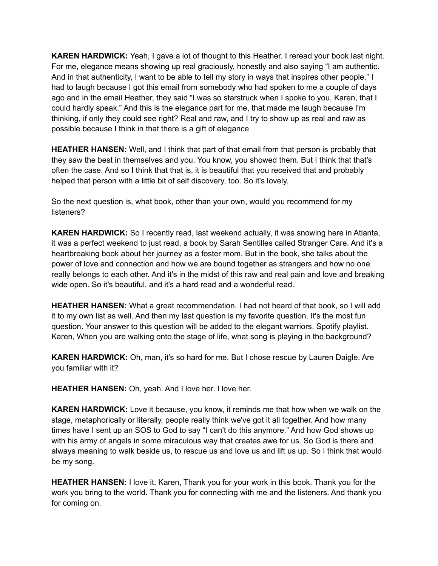**KAREN HARDWICK:** Yeah, I gave a lot of thought to this Heather. I reread your book last night. For me, elegance means showing up real graciously, honestly and also saying "I am authentic. And in that authenticity, I want to be able to tell my story in ways that inspires other people." I had to laugh because I got this email from somebody who had spoken to me a couple of days ago and in the email Heather, they said "I was so starstruck when I spoke to you, Karen, that I could hardly speak." And this is the elegance part for me, that made me laugh because I'm thinking, if only they could see right? Real and raw, and I try to show up as real and raw as possible because I think in that there is a gift of elegance

**HEATHER HANSEN:** Well, and I think that part of that email from that person is probably that they saw the best in themselves and you. You know, you showed them. But I think that that's often the case. And so I think that that is, it is beautiful that you received that and probably helped that person with a little bit of self discovery, too. So it's lovely.

So the next question is, what book, other than your own, would you recommend for my listeners?

**KAREN HARDWICK:** So I recently read, last weekend actually, it was snowing here in Atlanta, it was a perfect weekend to just read, a book by Sarah Sentilles called Stranger Care. And it's a heartbreaking book about her journey as a foster mom. But in the book, she talks about the power of love and connection and how we are bound together as strangers and how no one really belongs to each other. And it's in the midst of this raw and real pain and love and breaking wide open. So it's beautiful, and it's a hard read and a wonderful read.

**HEATHER HANSEN:** What a great recommendation. I had not heard of that book, so I will add it to my own list as well. And then my last question is my favorite question. It's the most fun question. Your answer to this question will be added to the elegant warriors. Spotify playlist. Karen, When you are walking onto the stage of life, what song is playing in the background?

**KAREN HARDWICK:** Oh, man, it's so hard for me. But I chose rescue by Lauren Daigle. Are you familiar with it?

**HEATHER HANSEN:** Oh, yeah. And I love her. I love her.

**KAREN HARDWICK:** Love it because, you know, it reminds me that how when we walk on the stage, metaphorically or literally, people really think we've got it all together. And how many times have I sent up an SOS to God to say "I can't do this anymore." And how God shows up with his army of angels in some miraculous way that creates awe for us. So God is there and always meaning to walk beside us, to rescue us and love us and lift us up. So I think that would be my song.

**HEATHER HANSEN:** I love it. Karen, Thank you for your work in this book. Thank you for the work you bring to the world. Thank you for connecting with me and the listeners. And thank you for coming on.